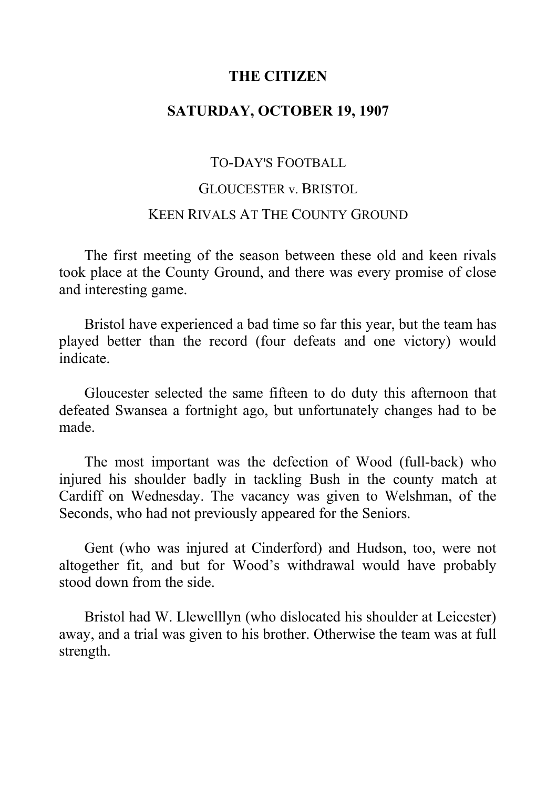### **THE CITIZEN**

# **SATURDAY, OCTOBER 19, 1907**

# TO-DAY'S FOOTBALL

### GLOUCESTER v. BRISTOL

## KEEN RIVALS AT THE COUNTY GROUND

The first meeting of the season between these old and keen rivals took place at the County Ground, and there was every promise of close and interesting game.

Bristol have experienced a bad time so far this year, but the team has played better than the record (four defeats and one victory) would indicate.

Gloucester selected the same fifteen to do duty this afternoon that defeated Swansea a fortnight ago, but unfortunately changes had to be made.

The most important was the defection of Wood (full-back) who injured his shoulder badly in tackling Bush in the county match at Cardiff on Wednesday. The vacancy was given to Welshman, of the Seconds, who had not previously appeared for the Seniors.

Gent (who was injured at Cinderford) and Hudson, too, were not altogether fit, and but for Wood's withdrawal would have probably stood down from the side.

Bristol had W. Llewelllyn (who dislocated his shoulder at Leicester) away, and a trial was given to his brother. Otherwise the team was at full strength.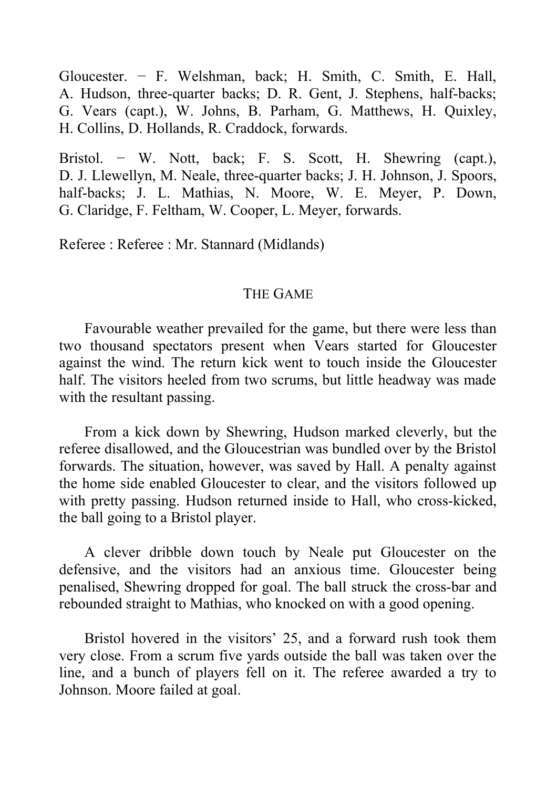Gloucester. − F. Welshman, back; H. Smith, C. Smith, E. Hall, A. Hudson, three-quarter backs; D. R. Gent, J. Stephens, half-backs; G. Vears (capt.), W. Johns, B. Parham, G. Matthews, H. Quixley, H. Collins, D. Hollands, R. Craddock, forwards.

Bristol. − W. Nott, back; F. S. Scott, H. Shewring (capt.), D. J. Llewellyn, M. Neale, three-quarter backs; J. H. Johnson, J. Spoors, half-backs; J. L. Mathias, N. Moore, W. E. Meyer, P. Down, G. Claridge, F. Feltham, W. Cooper, L. Meyer, forwards.

Referee : Referee : Mr. Stannard (Midlands)

### THE GAME

Favourable weather prevailed for the game, but there were less than two thousand spectators present when Vears started for Gloucester against the wind. The return kick went to touch inside the Gloucester half. The visitors heeled from two scrums, but little headway was made with the resultant passing.

From a kick down by Shewring, Hudson marked cleverly, but the referee disallowed, and the Gloucestrian was bundled over by the Bristol forwards. The situation, however, was saved by Hall. A penalty against the home side enabled Gloucester to clear, and the visitors followed up with pretty passing. Hudson returned inside to Hall, who cross-kicked, the ball going to a Bristol player.

A clever dribble down touch by Neale put Gloucester on the defensive, and the visitors had an anxious time. Gloucester being penalised, Shewring dropped for goal. The ball struck the cross-bar and rebounded straight to Mathias, who knocked on with a good opening.

Bristol hovered in the visitors' 25, and a forward rush took them very close. From a scrum five yards outside the ball was taken over the line, and a bunch of players fell on it. The referee awarded a try to Johnson. Moore failed at goal.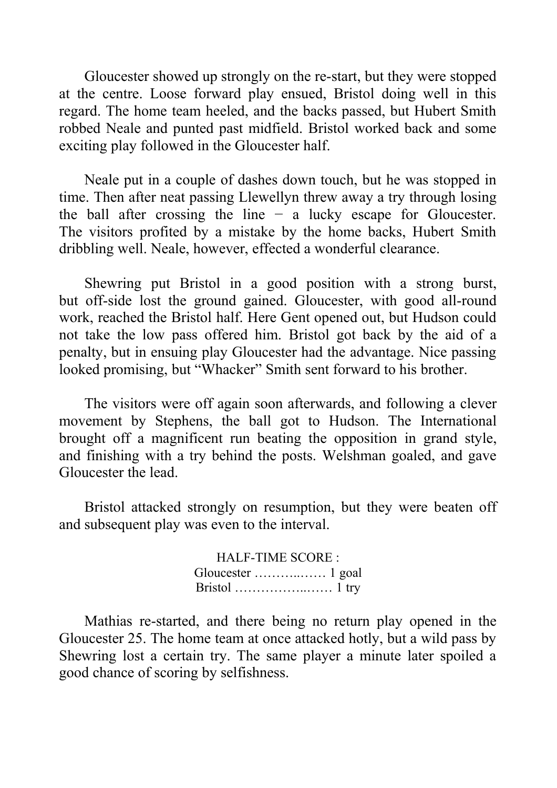Gloucester showed up strongly on the re-start, but they were stopped at the centre. Loose forward play ensued, Bristol doing well in this regard. The home team heeled, and the backs passed, but Hubert Smith robbed Neale and punted past midfield. Bristol worked back and some exciting play followed in the Gloucester half.

Neale put in a couple of dashes down touch, but he was stopped in time. Then after neat passing Llewellyn threw away a try through losing the ball after crossing the line  $-$  a lucky escape for Gloucester. The visitors profited by a mistake by the home backs, Hubert Smith dribbling well. Neale, however, effected a wonderful clearance.

Shewring put Bristol in a good position with a strong burst, but off-side lost the ground gained. Gloucester, with good all-round work, reached the Bristol half. Here Gent opened out, but Hudson could not take the low pass offered him. Bristol got back by the aid of a penalty, but in ensuing play Gloucester had the advantage. Nice passing looked promising, but "Whacker" Smith sent forward to his brother.

The visitors were off again soon afterwards, and following a clever movement by Stephens, the ball got to Hudson. The International brought off a magnificent run beating the opposition in grand style, and finishing with a try behind the posts. Welshman goaled, and gave Gloucester the lead.

Bristol attacked strongly on resumption, but they were beaten off and subsequent play was even to the interval.

> HALF-TIME SCORE : Gloucester ………..…… 1 goal Bristol ……………..…… 1 try

Mathias re-started, and there being no return play opened in the Gloucester 25. The home team at once attacked hotly, but a wild pass by Shewring lost a certain try. The same player a minute later spoiled a good chance of scoring by selfishness.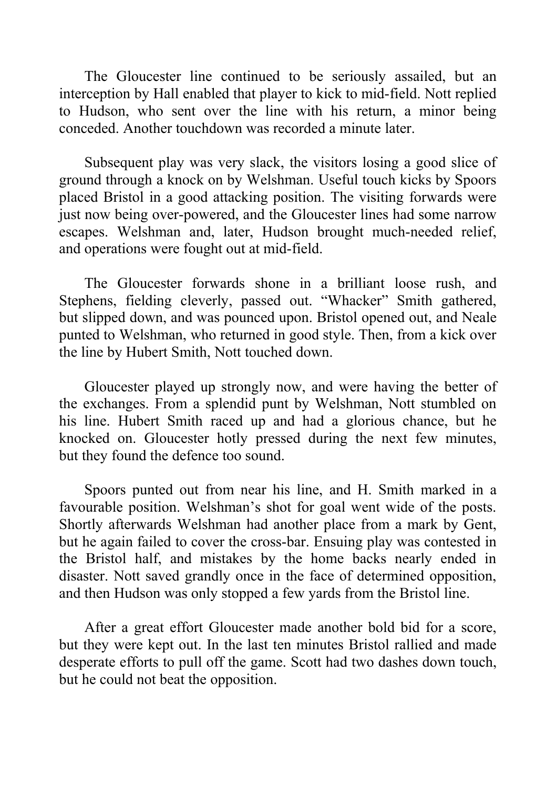The Gloucester line continued to be seriously assailed, but an interception by Hall enabled that player to kick to mid-field. Nott replied to Hudson, who sent over the line with his return, a minor being conceded. Another touchdown was recorded a minute later.

Subsequent play was very slack, the visitors losing a good slice of ground through a knock on by Welshman. Useful touch kicks by Spoors placed Bristol in a good attacking position. The visiting forwards were just now being over-powered, and the Gloucester lines had some narrow escapes. Welshman and, later, Hudson brought much-needed relief, and operations were fought out at mid-field.

The Gloucester forwards shone in a brilliant loose rush, and Stephens, fielding cleverly, passed out. "Whacker" Smith gathered, but slipped down, and was pounced upon. Bristol opened out, and Neale punted to Welshman, who returned in good style. Then, from a kick over the line by Hubert Smith, Nott touched down.

Gloucester played up strongly now, and were having the better of the exchanges. From a splendid punt by Welshman, Nott stumbled on his line. Hubert Smith raced up and had a glorious chance, but he knocked on. Gloucester hotly pressed during the next few minutes, but they found the defence too sound.

Spoors punted out from near his line, and H. Smith marked in a favourable position. Welshman's shot for goal went wide of the posts. Shortly afterwards Welshman had another place from a mark by Gent, but he again failed to cover the cross-bar. Ensuing play was contested in the Bristol half, and mistakes by the home backs nearly ended in disaster. Nott saved grandly once in the face of determined opposition, and then Hudson was only stopped a few yards from the Bristol line.

After a great effort Gloucester made another bold bid for a score, but they were kept out. In the last ten minutes Bristol rallied and made desperate efforts to pull off the game. Scott had two dashes down touch, but he could not beat the opposition.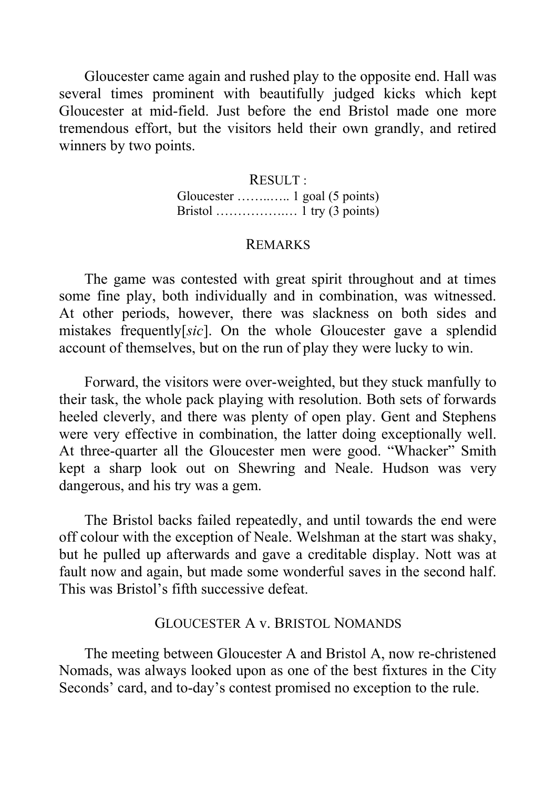Gloucester came again and rushed play to the opposite end. Hall was several times prominent with beautifully judged kicks which kept Gloucester at mid-field. Just before the end Bristol made one more tremendous effort, but the visitors held their own grandly, and retired winners by two points.

### RESULT :

Gloucester ……..….. 1 goal (5 points) Bristol …………….… 1 try (3 points)

### REMARKS

The game was contested with great spirit throughout and at times some fine play, both individually and in combination, was witnessed. At other periods, however, there was slackness on both sides and mistakes frequently[*sic*]. On the whole Gloucester gave a splendid account of themselves, but on the run of play they were lucky to win.

Forward, the visitors were over-weighted, but they stuck manfully to their task, the whole pack playing with resolution. Both sets of forwards heeled cleverly, and there was plenty of open play. Gent and Stephens were very effective in combination, the latter doing exceptionally well. At three-quarter all the Gloucester men were good. "Whacker" Smith kept a sharp look out on Shewring and Neale. Hudson was very dangerous, and his try was a gem.

The Bristol backs failed repeatedly, and until towards the end were off colour with the exception of Neale. Welshman at the start was shaky, but he pulled up afterwards and gave a creditable display. Nott was at fault now and again, but made some wonderful saves in the second half. This was Bristol's fifth successive defeat.

### GLOUCESTER A v. BRISTOL NOMANDS

The meeting between Gloucester A and Bristol A, now re-christened Nomads, was always looked upon as one of the best fixtures in the City Seconds' card, and to-day's contest promised no exception to the rule.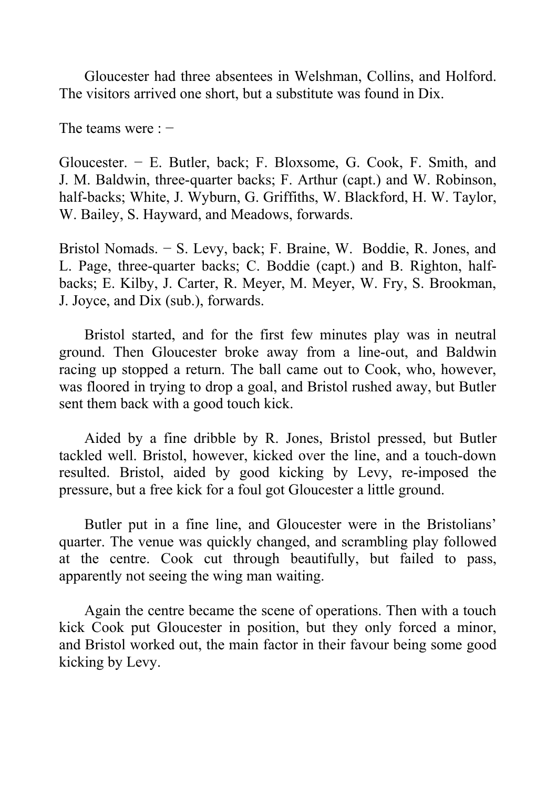Gloucester had three absentees in Welshman, Collins, and Holford. The visitors arrived one short, but a substitute was found in Dix.

The teams were : −

Gloucester. − E. Butler, back; F. Bloxsome, G. Cook, F. Smith, and J. M. Baldwin, three-quarter backs; F. Arthur (capt.) and W. Robinson, half-backs; White, J. Wyburn, G. Griffiths, W. Blackford, H. W. Taylor, W. Bailey, S. Hayward, and Meadows, forwards.

Bristol Nomads. − S. Levy, back; F. Braine, W. Boddie, R. Jones, and L. Page, three-quarter backs; C. Boddie (capt.) and B. Righton, halfbacks; E. Kilby, J. Carter, R. Meyer, M. Meyer, W. Fry, S. Brookman, J. Joyce, and Dix (sub.), forwards.

Bristol started, and for the first few minutes play was in neutral ground. Then Gloucester broke away from a line-out, and Baldwin racing up stopped a return. The ball came out to Cook, who, however, was floored in trying to drop a goal, and Bristol rushed away, but Butler sent them back with a good touch kick.

Aided by a fine dribble by R. Jones, Bristol pressed, but Butler tackled well. Bristol, however, kicked over the line, and a touch-down resulted. Bristol, aided by good kicking by Levy, re-imposed the pressure, but a free kick for a foul got Gloucester a little ground.

Butler put in a fine line, and Gloucester were in the Bristolians' quarter. The venue was quickly changed, and scrambling play followed at the centre. Cook cut through beautifully, but failed to pass, apparently not seeing the wing man waiting.

Again the centre became the scene of operations. Then with a touch kick Cook put Gloucester in position, but they only forced a minor, and Bristol worked out, the main factor in their favour being some good kicking by Levy.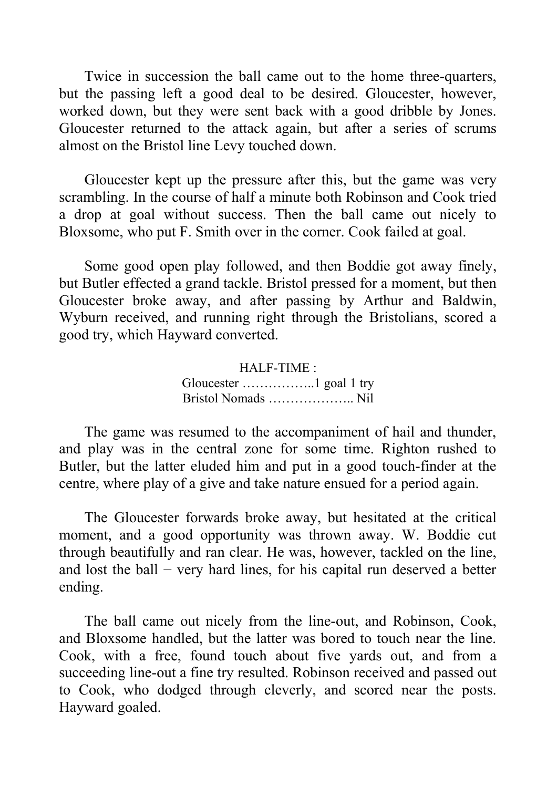Twice in succession the ball came out to the home three-quarters, but the passing left a good deal to be desired. Gloucester, however, worked down, but they were sent back with a good dribble by Jones. Gloucester returned to the attack again, but after a series of scrums almost on the Bristol line Levy touched down.

Gloucester kept up the pressure after this, but the game was very scrambling. In the course of half a minute both Robinson and Cook tried a drop at goal without success. Then the ball came out nicely to Bloxsome, who put F. Smith over in the corner. Cook failed at goal.

Some good open play followed, and then Boddie got away finely, but Butler effected a grand tackle. Bristol pressed for a moment, but then Gloucester broke away, and after passing by Arthur and Baldwin, Wyburn received, and running right through the Bristolians, scored a good try, which Hayward converted.

> HALF-TIME : Gloucester ……………..1 goal 1 try Bristol Nomads ……………….. Nil

The game was resumed to the accompaniment of hail and thunder, and play was in the central zone for some time. Righton rushed to Butler, but the latter eluded him and put in a good touch-finder at the centre, where play of a give and take nature ensued for a period again.

The Gloucester forwards broke away, but hesitated at the critical moment, and a good opportunity was thrown away. W. Boddie cut through beautifully and ran clear. He was, however, tackled on the line, and lost the ball  $-$  very hard lines, for his capital run deserved a better ending.

The ball came out nicely from the line-out, and Robinson, Cook, and Bloxsome handled, but the latter was bored to touch near the line. Cook, with a free, found touch about five yards out, and from a succeeding line-out a fine try resulted. Robinson received and passed out to Cook, who dodged through cleverly, and scored near the posts. Hayward goaled.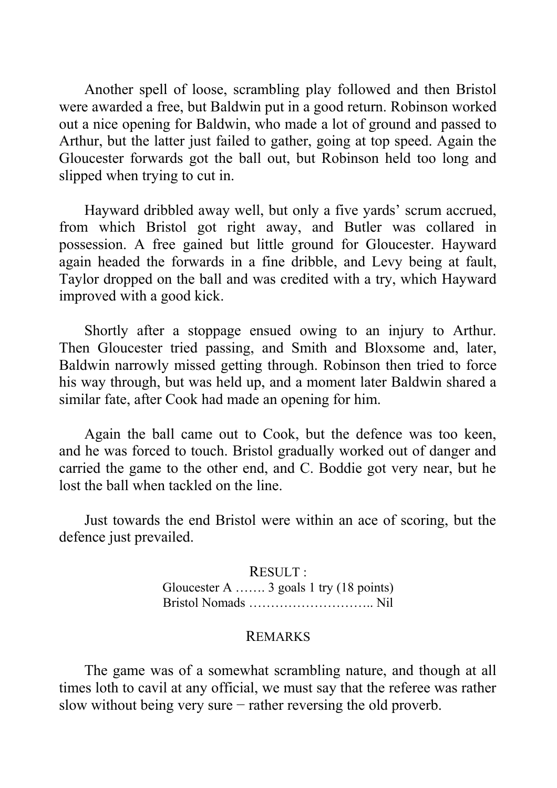Another spell of loose, scrambling play followed and then Bristol were awarded a free, but Baldwin put in a good return. Robinson worked out a nice opening for Baldwin, who made a lot of ground and passed to Arthur, but the latter just failed to gather, going at top speed. Again the Gloucester forwards got the ball out, but Robinson held too long and slipped when trying to cut in.

Hayward dribbled away well, but only a five yards' scrum accrued, from which Bristol got right away, and Butler was collared in possession. A free gained but little ground for Gloucester. Hayward again headed the forwards in a fine dribble, and Levy being at fault, Taylor dropped on the ball and was credited with a try, which Hayward improved with a good kick.

Shortly after a stoppage ensued owing to an injury to Arthur. Then Gloucester tried passing, and Smith and Bloxsome and, later, Baldwin narrowly missed getting through. Robinson then tried to force his way through, but was held up, and a moment later Baldwin shared a similar fate, after Cook had made an opening for him.

Again the ball came out to Cook, but the defence was too keen, and he was forced to touch. Bristol gradually worked out of danger and carried the game to the other end, and C. Boddie got very near, but he lost the ball when tackled on the line.

Just towards the end Bristol were within an ace of scoring, but the defence just prevailed.

> RESULT : Gloucester A ……. 3 goals 1 try (18 points) Bristol Nomads ……………………….. Nil

#### REMARKS

The game was of a somewhat scrambling nature, and though at all times loth to cavil at any official, we must say that the referee was rather slow without being very sure − rather reversing the old proverb.